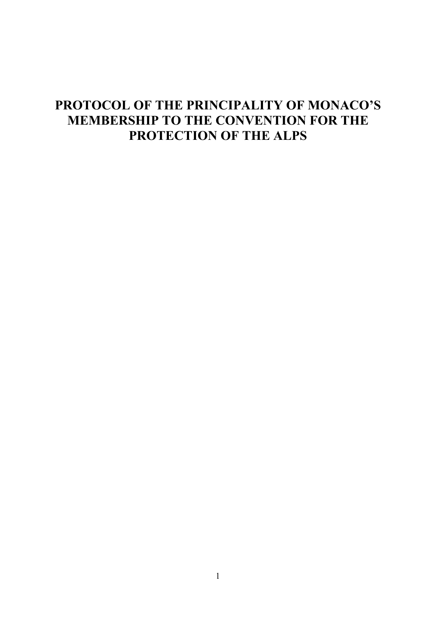# **PROTOCOL OF THE PRINCIPALITY OF MONACO'S MEMBERSHIP TO THE CONVENTION FOR THE PROTECTION OF THE ALPS**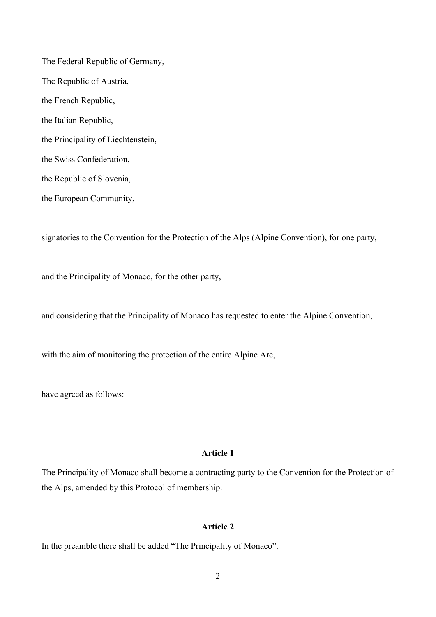The Federal Republic of Germany, The Republic of Austria, the French Republic, the Italian Republic, the Principality of Liechtenstein, the Swiss Confederation, the Republic of Slovenia, the European Community,

signatories to the Convention for the Protection of the Alps (Alpine Convention), for one party,

and the Principality of Monaco, for the other party,

and considering that the Principality of Monaco has requested to enter the Alpine Convention,

with the aim of monitoring the protection of the entire Alpine Arc,

have agreed as follows:

## **Article 1**

The Principality of Monaco shall become a contracting party to the Convention for the Protection of the Alps, amended by this Protocol of membership.

#### **Article 2**

In the preamble there shall be added "The Principality of Monaco".

2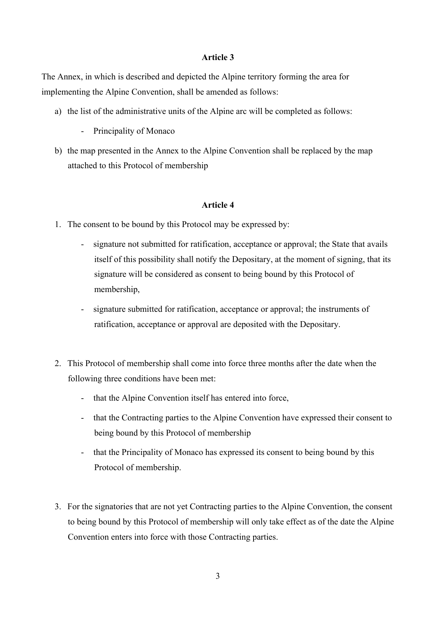#### **Article 3**

The Annex, in which is described and depicted the Alpine territory forming the area for implementing the Alpine Convention, shall be amended as follows:

- a) the list of the administrative units of the Alpine arc will be completed as follows:
	- Principality of Monaco
- b) the map presented in the Annex to the Alpine Convention shall be replaced by the map attached to this Protocol of membership

## **Article 4**

- 1. The consent to be bound by this Protocol may be expressed by:
	- signature not submitted for ratification, acceptance or approval; the State that avails itself of this possibility shall notify the Depositary, at the moment of signing, that its signature will be considered as consent to being bound by this Protocol of membership,
	- signature submitted for ratification, acceptance or approval; the instruments of ratification, acceptance or approval are deposited with the Depositary.
- 2. This Protocol of membership shall come into force three months after the date when the following three conditions have been met:
	- that the Alpine Convention itself has entered into force,
	- that the Contracting parties to the Alpine Convention have expressed their consent to being bound by this Protocol of membership
	- that the Principality of Monaco has expressed its consent to being bound by this Protocol of membership.
- 3. For the signatories that are not yet Contracting parties to the Alpine Convention, the consent to being bound by this Protocol of membership will only take effect as of the date the Alpine Convention enters into force with those Contracting parties.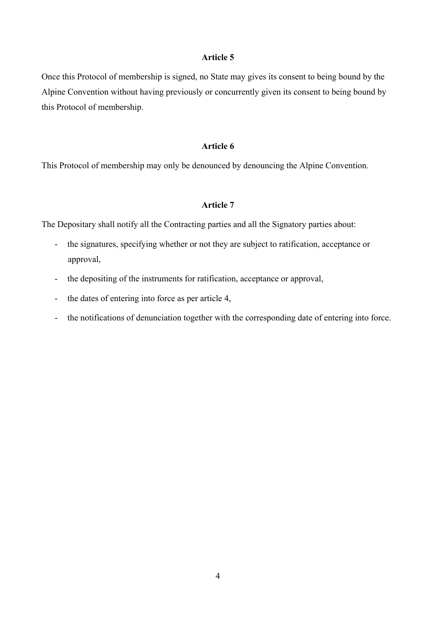## **Article 5**

Once this Protocol of membership is signed, no State may gives its consent to being bound by the Alpine Convention without having previously or concurrently given its consent to being bound by this Protocol of membership.

#### **Article 6**

This Protocol of membership may only be denounced by denouncing the Alpine Convention.

## **Article 7**

The Depositary shall notify all the Contracting parties and all the Signatory parties about:

- the signatures, specifying whether or not they are subject to ratification, acceptance or approval,
- the depositing of the instruments for ratification, acceptance or approval,
- the dates of entering into force as per article 4,
- the notifications of denunciation together with the corresponding date of entering into force.